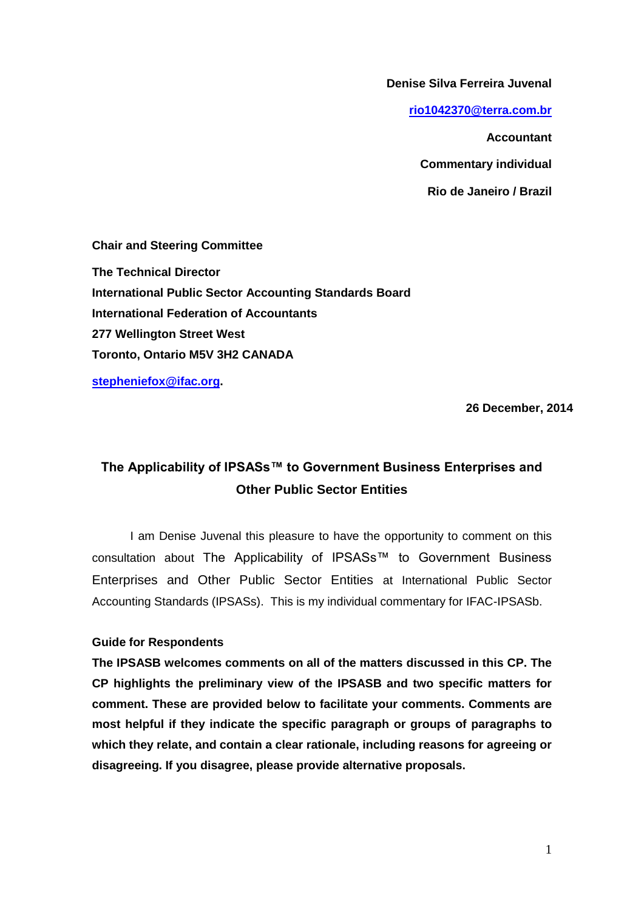**Denise Silva Ferreira Juvenal**

**[rio1042370@terra.com.br](mailto:rio1042370@terra.com.br)**

**Accountant** 

**Commentary individual**

**Rio de Janeiro / Brazil**

**Chair and Steering Committee The Technical Director International Public Sector Accounting Standards Board International Federation of Accountants 277 Wellington Street West Toronto, Ontario M5V 3H2 CANADA** 

**[stepheniefox@ifac.org.](mailto:stepheniefox@ifac.org)**

 **26 December, 2014**

# **The Applicability of IPSASs™ to Government Business Enterprises and Other Public Sector Entities**

I am Denise Juvenal this pleasure to have the opportunity to comment on this consultation about The Applicability of IPSASs™ to Government Business Enterprises and Other Public Sector Entities at International Public Sector Accounting Standards (IPSASs). This is my individual commentary for IFAC-IPSASb.

# **Guide for Respondents**

**The IPSASB welcomes comments on all of the matters discussed in this CP. The CP highlights the preliminary view of the IPSASB and two specific matters for comment. These are provided below to facilitate your comments. Comments are most helpful if they indicate the specific paragraph or groups of paragraphs to which they relate, and contain a clear rationale, including reasons for agreeing or disagreeing. If you disagree, please provide alternative proposals.**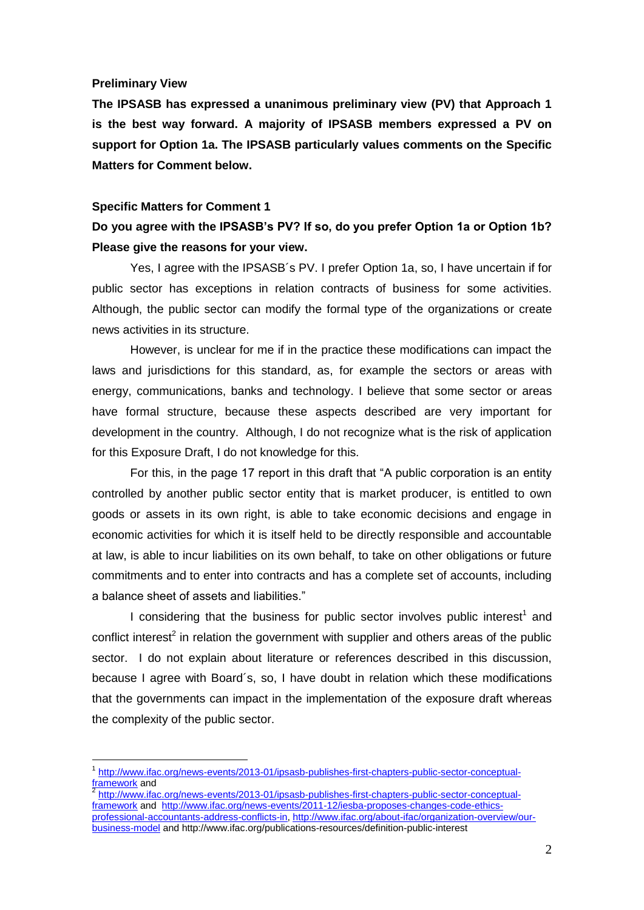### **Preliminary View**

1

**The IPSASB has expressed a unanimous preliminary view (PV) that Approach 1 is the best way forward. A majority of IPSASB members expressed a PV on support for Option 1a. The IPSASB particularly values comments on the Specific Matters for Comment below.**

#### **Specific Matters for Comment 1**

# **Do you agree with the IPSASB's PV? If so, do you prefer Option 1a or Option 1b? Please give the reasons for your view.**

Yes, I agree with the IPSASB´s PV. I prefer Option 1a, so, I have uncertain if for public sector has exceptions in relation contracts of business for some activities. Although, the public sector can modify the formal type of the organizations or create news activities in its structure.

However, is unclear for me if in the practice these modifications can impact the laws and jurisdictions for this standard, as, for example the sectors or areas with energy, communications, banks and technology. I believe that some sector or areas have formal structure, because these aspects described are very important for development in the country. Although, I do not recognize what is the risk of application for this Exposure Draft, I do not knowledge for this.

For this, in the page 17 report in this draft that "A public corporation is an entity controlled by another public sector entity that is market producer, is entitled to own goods or assets in its own right, is able to take economic decisions and engage in economic activities for which it is itself held to be directly responsible and accountable at law, is able to incur liabilities on its own behalf, to take on other obligations or future commitments and to enter into contracts and has a complete set of accounts, including a balance sheet of assets and liabilities."

I considering that the business for public sector involves public interest<sup>1</sup> and conflict interest<sup>2</sup> in relation the government with supplier and others areas of the public sector. I do not explain about literature or references described in this discussion, because I agree with Board´s, so, I have doubt in relation which these modifications that the governments can impact in the implementation of the exposure draft whereas the complexity of the public sector.

[http://www.ifac.org/news-events/2013-01/ipsasb-publishes-first-chapters-public-sector-conceptual](http://www.ifac.org/news-events/2013-01/ipsasb-publishes-first-chapters-public-sector-conceptual-framework)[framework](http://www.ifac.org/news-events/2013-01/ipsasb-publishes-first-chapters-public-sector-conceptual-framework) and [http://www.ifac.org/news-events/2011-12/iesba-proposes-changes-code-ethics](http://www.ifac.org/news-events/2011-12/iesba-proposes-changes-code-ethics-professional-accountants-address-conflicts-in)[professional-accountants-address-conflicts-in,](http://www.ifac.org/news-events/2011-12/iesba-proposes-changes-code-ethics-professional-accountants-address-conflicts-in) [http://www.ifac.org/about-ifac/organization-overview/our](http://www.ifac.org/about-ifac/organization-overview/our-business-model)[business-model](http://www.ifac.org/about-ifac/organization-overview/our-business-model) and http://www.ifac.org/publications-resources/definition-public-interest

<sup>&</sup>lt;sup>1</sup> [http://www.ifac.org/news-events/2013-01/ipsasb-publishes-first-chapters-public-sector-conceptual](http://www.ifac.org/news-events/2013-01/ipsasb-publishes-first-chapters-public-sector-conceptual-framework)[framework](http://www.ifac.org/news-events/2013-01/ipsasb-publishes-first-chapters-public-sector-conceptual-framework)</u> and<br><sup>2</sup> http://www.ife